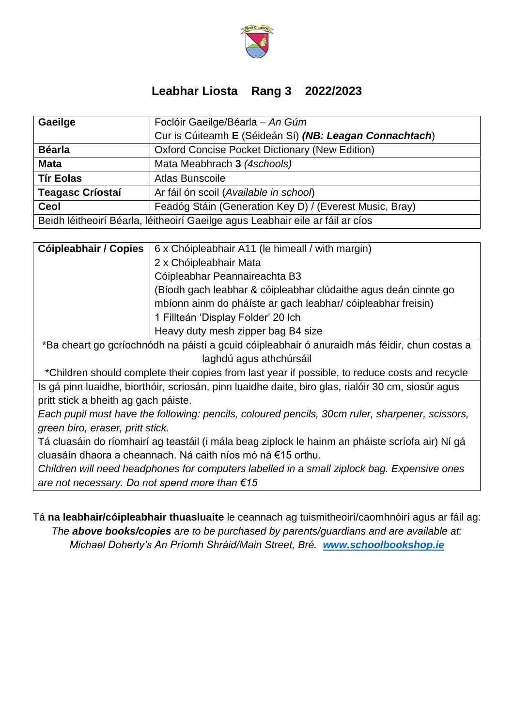

## **Leabhar Liosta Rang 3 2022/2023**

| Gaeilge                                                                        | Foclóir Gaeilge/Béarla - An Gúm                         |  |
|--------------------------------------------------------------------------------|---------------------------------------------------------|--|
|                                                                                | Cur is Cúiteamh E (Séideán Sí) (NB: Leagan Connachtach) |  |
| <b>Béarla</b>                                                                  | <b>Oxford Concise Pocket Dictionary (New Edition)</b>   |  |
| <b>Mata</b>                                                                    | Mata Meabhrach 3 (4schools)                             |  |
| <b>Tír Eolas</b>                                                               | Atlas Bunscoile                                         |  |
| <b>Teagasc Criostai</b>                                                        | Ar fáil ón scoil (Available in school)                  |  |
| <b>Ceol</b>                                                                    | Feadóg Stáin (Generation Key D) / (Everest Music, Bray) |  |
| Beidh léitheoirí Béarla, léitheoirí Gaeilge agus Leabhair eile ar fáil ar cíos |                                                         |  |

| <b>Cóipleabhair / Copies</b>   6 x Chóipleabhair A11 (le himeall / with margin)               |  |
|-----------------------------------------------------------------------------------------------|--|
| 2 x Chóipleabhair Mata                                                                        |  |
| Cóipleabhar Peannaireachta B3                                                                 |  |
| (Bíodh gach leabhar & cóipleabhar clúdaithe agus deán cinnte go                               |  |
| mbíonn ainm do pháíste ar gach leabhar/ cóipleabhar freisin)                                  |  |
| 1 Fillteán 'Display Folder' 20 lch                                                            |  |
| Heavy duty mesh zipper bag B4 size                                                            |  |
| *Ra choart as asríochnódh na nóistí a gcuid cóinleabhair ó anuraidh mós fóidir, chun costas a |  |

\*Ba cheart go gcríochnódh na páistí a gcuid cóipleabhair ó anuraidh más féidir, chun costas a laghdú agus athchúrsáil

\*Children should complete their copies from last year if possible, to reduce costs and recycle

Is gá pinn luaidhe, biorthóir, scriosán, pinn luaidhe daite, biro glas, rialóir 30 cm, siosúr agus pritt stick a bheith ag gach páiste.

*Each pupil must have the following: pencils, coloured pencils, 30cm ruler, sharpener, scissors, green biro, eraser, pritt stick.*

Tá cluasáin do ríomhairí ag teastáil (i mála beag ziplock le hainm an pháiste scríofa air) Ní gá cluasáín dhaora a cheannach. Ná caith níos mó ná €15 orthu.

*Children will need headphones for computers labelled in a small ziplock bag. Expensive ones are not necessary. Do not spend more than €15*

Tá **na leabhair/cóipleabhair thuasluaite** le ceannach ag tuismitheoirí/caomhnóirí agus ar fáil ag: *The above books/copies are to be purchased by parents/guardians and are available at: Michael Doherty's An Príomh Shráid/Main Street, Bré. [www.schoolbookshop.ie](http://www.schoolbookshop.ie/)*